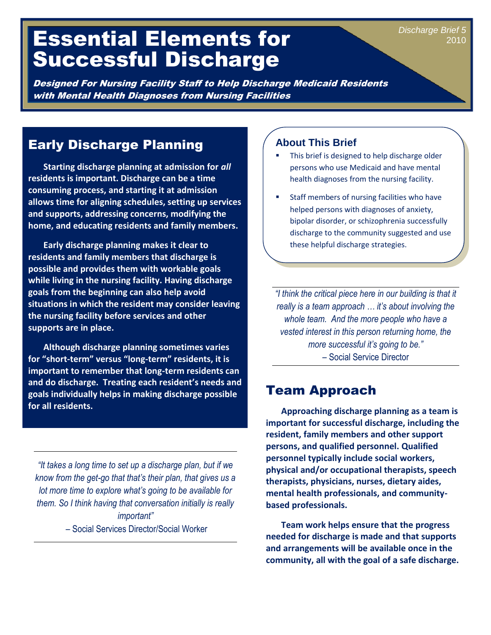# Essential Elements for Successful Discharge

Designed For Nursing Facility Staff to Help Discharge Medicaid Residents with Mental Health Diagnoses from Nursing Facilities

# Early Discharge Planning

 **Starting discharge planning at admission for** *all* **residents is important. Discharge can be a time consuming process, and starting it at admission allows time for aligning schedules, setting up services and supports, addressing concerns, modifying the home, and educating residents and family members.** 

 **Early discharge planning makes it clear to residents and family members that discharge is possible and provides them with workable goals while living in the nursing facility. Having discharge goals from the beginning can also help avoid situations in which the resident may consider leaving the nursing facility before services and other supports are in place.** 

 **Although discharge planning sometimes varies for "short-term" versus "long-term" residents, it is important to remember that long-term residents can and do discharge. Treating each resident's needs and goals individually helps in making discharge possible for all residents.**

*"It takes a long time to set up a discharge plan, but if we know from the get-go that that's their plan, that gives us a lot more time to explore what's going to be available for them. So I think having that conversation initially is really important" –* Social Services Director/Social Worker

#### **About This Brief**

 This brief is designed to help discharge older persons who use Medicaid and have mental health diagnoses from the nursing facility.

*Discharge Brief 5*

2010

 Staff members of nursing facilities who have helped persons with diagnoses of anxiety, bipolar disorder, or schizophrenia successfully discharge to the community suggested and use these helpful discharge strategies.

*"I think the critical piece here in our building is that it really is a team approach … it's about involving the whole team. And the more people who have a vested interest in this person returning home, the more successful it's going to be." –* Social Service Director

# Team Approach

 **Approaching discharge planning as a team is important for successful discharge, including the resident, family members and other support persons, and qualified personnel. Qualified personnel typically include social workers, physical and/or occupational therapists, speech therapists, physicians, nurses, dietary aides, mental health professionals, and communitybased professionals.** 

 **Team work helps ensure that the progress needed for discharge is made and that supports and arrangements will be available once in the community, all with the goal of a safe discharge.**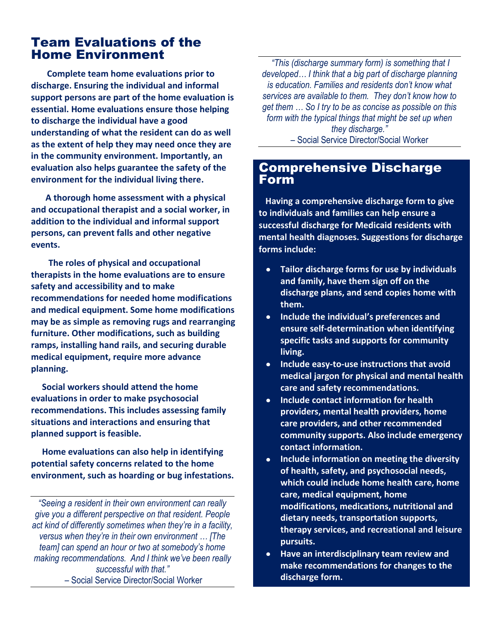#### Team Evaluations of the Home Environment Ī

 **Complete team home evaluations prior to discharge. Ensuring the individual and informal support persons are part of the home evaluation is essential. Home evaluations ensure those helping to discharge the individual have a good understanding of what the resident can do as well as the extent of help they may need once they are in the community environment. Importantly, an evaluation also helps guarantee the safety of the environment for the individual living there.** 

**A thorough home assessment with a physical and occupational therapist and a social worker, in addition to the individual and informal support persons, can prevent falls and other negative events.** 

 **The roles of physical and occupational therapists in the home evaluations are to ensure safety and accessibility and to make recommendations for needed home modifications and medical equipment. Some home modifications may be as simple as removing rugs and rearranging furniture. Other modifications, such as building ramps, installing hand rails, and securing durable medical equipment, require more advance planning.** 

 **Social workers should attend the home evaluations in order to make psychosocial recommendations. This includes assessing family situations and interactions and ensuring that planned support is feasible.**

 **Home evaluations can also help in identifying potential safety concerns related to the home environment, such as hoarding or bug infestations.** 

*"Seeing a resident in their own environment can really give you a different perspective on that resident. People act kind of differently sometimes when they're in a facility, versus when they're in their own environment … [The team] can spend an hour or two at somebody's home making recommendations. And I think we've been really successful with that." –* Social Service Director/Social Worker

*"This (discharge summary form) is something that I developed… I think that a big part of discharge planning is education. Families and residents don't know what services are available to them. They don't know how to get them … So I try to be as concise as possible on this form with the typical things that might be set up when they discharge." –* Social Service Director/Social Worker

#### Comprehensive Discharge Form

 **Having a comprehensive discharge form to give to individuals and families can help ensure a successful discharge for Medicaid residents with mental health diagnoses. Suggestions for discharge forms include:**

- **Tailor discharge forms for use by individuals**   $\bullet$ **and family, have them sign off on the discharge plans, and send copies home with them.**
- **Include the individual's preferences and**   $\bullet$ **ensure self-determination when identifying specific tasks and supports for community living.**
- **Include easy-to-use instructions that avoid**   $\bullet$ **medical jargon for physical and mental health care and safety recommendations.**
- **Include contact information for health providers, mental health providers, home care providers, and other recommended community supports. Also include emergency contact information.**
- **Include information on meeting the diversity**   $\bullet$ **of health, safety, and psychosocial needs, which could include home health care, home care, medical equipment, home modifications, medications, nutritional and dietary needs, transportation supports, therapy services, and recreational and leisure pursuits.**
- **Have an interdisciplinary team review and**   $\bullet$ **make recommendations for changes to the discharge form.**